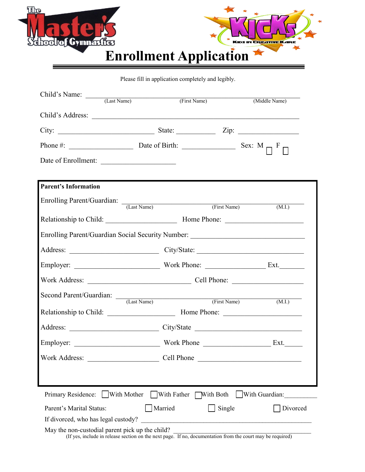



Please fill in application completely and legibly.

| Child's Name: (Last Name)                                                                                                                                                                                          |         | (First Name) | (Middle Name) |
|--------------------------------------------------------------------------------------------------------------------------------------------------------------------------------------------------------------------|---------|--------------|---------------|
|                                                                                                                                                                                                                    |         |              |               |
|                                                                                                                                                                                                                    |         |              |               |
|                                                                                                                                                                                                                    |         |              |               |
|                                                                                                                                                                                                                    |         |              |               |
| Date of Enrollment:                                                                                                                                                                                                |         |              |               |
|                                                                                                                                                                                                                    |         |              |               |
| <b>Parent's Information</b>                                                                                                                                                                                        |         |              |               |
| Enrolling Parent/Guardian: (Last Name) (First Name)                                                                                                                                                                |         |              | (M.I.)        |
|                                                                                                                                                                                                                    |         |              |               |
| Enrolling Parent/Guardian Social Security Number: ______________________________                                                                                                                                   |         |              |               |
|                                                                                                                                                                                                                    |         |              |               |
|                                                                                                                                                                                                                    |         |              |               |
|                                                                                                                                                                                                                    |         |              |               |
|                                                                                                                                                                                                                    |         |              |               |
| Second Parent/Guardian: (Last Name) (First Name) (First Name)                                                                                                                                                      |         |              |               |
|                                                                                                                                                                                                                    |         |              | (M.I.)        |
|                                                                                                                                                                                                                    |         |              |               |
|                                                                                                                                                                                                                    |         |              |               |
|                                                                                                                                                                                                                    |         |              |               |
|                                                                                                                                                                                                                    |         |              |               |
|                                                                                                                                                                                                                    |         |              |               |
|                                                                                                                                                                                                                    |         |              |               |
| Primary Residence: With Mother With Father With Both With Guardian:                                                                                                                                                |         |              |               |
| Parent's Marital Status:                                                                                                                                                                                           | Married | Single       | Divorced      |
| If divorced, who has legal custody?                                                                                                                                                                                |         |              |               |
| May the non-custodial parent pick up the child?<br>$\epsilon$ non-customal parent pick up the child?<br>(If yes, include in release section on the next page. If no, documentation from the court may be required) |         |              |               |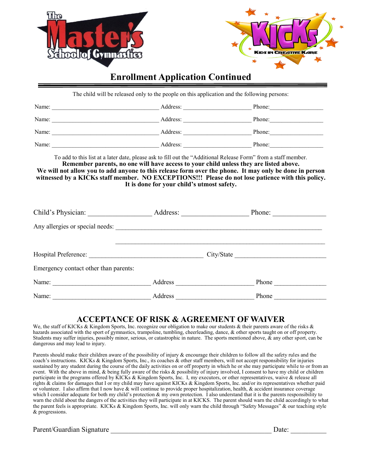



### **Enrollment Application Continued**

The child will be released only to the people on this application and the following persons:

| Name: | Address: | Phone: |
|-------|----------|--------|
| Name: | Address: | Phone: |
| Name: | Address: | Phone: |
| Name: | Address: | Phone: |

To add to this list at a later date, please ask to fill out the "Additional Release Form" from a staff member. **Remember parents, no one will have access to your child unless they are listed above.** We will not allow you to add anyone to this release form over the phone. It may only be done in person **witnessed by a KICKs staff member. NO EXCEPTIONS!!! Please do not lose patience with this policy. It is done for your child's utmost safety.**

| Child's Physician:                    | Address: |            | Phone: |
|---------------------------------------|----------|------------|--------|
| Any allergies or special needs:       |          |            |        |
|                                       |          |            |        |
|                                       |          | City/State |        |
| Emergency contact other than parents: |          |            |        |
| Name:                                 | Address  |            | Phone  |
| Name:                                 | Address  |            | Phone  |

### **ACCEPTANCE OF RISK & AGREEMENT OF WAIVER**

We, the staff of KICKs & Kingdom Sports, Inc. recognize our obligation to make our students & their parents aware of the risks & hazards associated with the sport of gymnastics, trampoline, tumbling, cheerleading, dance, & other sports taught on or off property. Students may suffer injuries, possibly minor, serious, or catastrophic in nature. The sports mentioned above,  $\&$  any other sport, can be dangerous and may lead to injury.

Parents should make their children aware of the possibility of injury & encourage their children to follow all the safety rules and the coach's instructions. KICKs & Kingdom Sports, Inc., its coaches & other staff members, will not accept responsibility for injuries sustained by any student during the course of the daily activities on or off property in which he or she may participate while to or from an event. With the above in mind, & being fully aware of the risks & possibility of injury involved, I consent to have my child or children participate in the programs offered by KICKs & Kingdom Sports, Inc. I, my executors, or other representatives, waive & release all rights & claims for damages that I or my child may have against KICKs & Kingdom Sports, Inc. and/or its representatives whether paid or volunteer. I also affirm that I now have & will continue to provide proper hospitalization, health, & accident insurance coverage which I consider adequate for both my child's protection  $\&$  my own protection. I also understand that it is the parents responsibility to warn the child about the dangers of the activities they will participate in at KICKS. The parent should warn the child accordingly to what the parent feels is appropriate. KICKs & Kingdom Sports, Inc. will only warn the child through "Safety Messages" & our teaching style & progressions.

Parent/Guardian Signature \_\_\_\_\_\_\_\_\_\_\_\_\_\_\_\_\_\_\_\_\_\_\_\_\_\_\_\_\_\_\_\_\_\_\_\_\_\_\_\_\_\_\_\_\_ Date: \_\_\_\_\_\_\_\_\_\_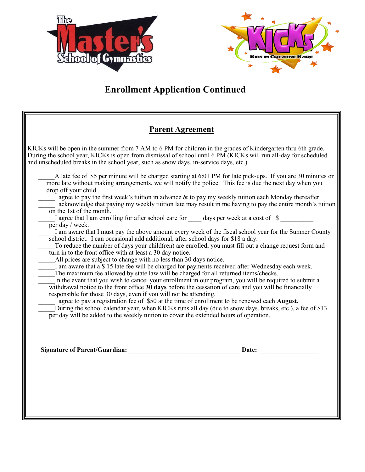



# **Enrollment Application Continued**

### **Parent Agreement**

KICKs will be open in the summer from 7 AM to 6 PM for children in the grades of Kindergarten thru 6th grade. During the school year, KICKs is open from dismissal of school until 6 PM (KICKs will run all-day for scheduled and unscheduled breaks in the school year, such as snow days, in-service days, etc.)

A late fee of \$5 per minute will be charged starting at 6:01 PM for late pick-ups. If you are 30 minutes or more late without making arrangements, we will notify the police. This fee is due the next day when you drop off your child. I agree to pay the first week's tuition in advance  $\&$  to pay my weekly tuition each Monday thereafter.

I acknowledge that paying my weekly tuition late may result in me having to pay the entire month's tuition on the 1st of the month.

I agree that I am enrolling for after school care for days per week at a cost of  $\$$ per day / week.

I am aware that I must pay the above amount every week of the fiscal school year for the Sumner County school district. I can occasional add additional, after school days for \$18 a day.

To reduce the number of days your child(ren) are enrolled, you must fill out a change request form and turn in to the front office with at least a 30 day notice.

All prices are subject to change with no less than 30 days notice.

I am aware that a \$ 15 late fee will be charged for payments received after Wednesday each week.

The maximum fee allowed by state law will be charged for all returned items/checks.

In the event that you wish to cancel your enrollment in our program, you will be required to submit a withdrawal notice to the front office **30 days** before the cessation of care and you will be financially responsible for those 30 days, even if you will not be attending.

\_\_\_\_\_I agree to pay a registration fee of \$50 at the time of enrollment to be renewed each **August.**

During the school calendar year, when KICKs runs all day (due to snow days, breaks, etc.), a fee of \$13 per day will be added to the weekly tuition to cover the extended hours of operation.

**Signature of Parent/Guardian: \_\_\_\_\_\_\_\_\_\_\_\_\_\_\_\_\_\_\_\_\_\_\_\_\_\_\_\_\_\_\_\_\_\_ Date: \_\_\_\_\_\_\_\_\_\_\_\_\_\_\_\_\_\_**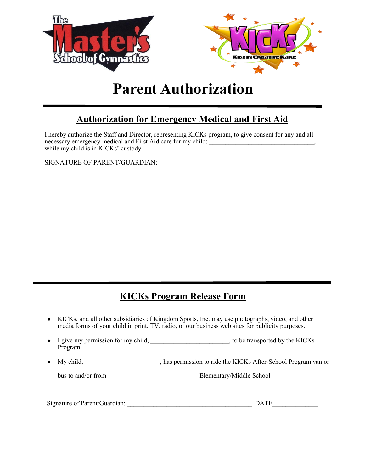

# **Parent Authorization**

# **Authorization for Emergency Medical and First Aid**

I hereby authorize the Staff and Director, representing KICKs program, to give consent for any and all necessary emergency medical and First Aid care for my child: \_\_\_\_\_\_\_\_\_\_\_\_\_\_\_\_\_\_\_\_\_\_\_\_\_\_\_\_\_\_\_\_, while my child is in KICKs' custody.

SIGNATURE OF PARENT/GUARDIAN:

# **KICKs Program Release Form**

- KICKs, and all other subsidiaries of Kingdom Sports, Inc. may use photographs, video, and other media forms of your child in print, TV, radio, or our business web sites for publicity purposes.
- I give my permission for my child, \_\_\_\_\_\_\_\_\_\_\_\_\_\_\_\_\_\_\_\_\_, to be transported by the KICKs Program.
- My child, \_\_\_\_\_\_\_\_\_\_\_\_\_\_\_\_\_\_\_\_\_\_\_, has permission to ride the KICKs After-School Program van or

bus to and/or from \_\_\_\_\_\_\_\_\_\_\_\_\_\_\_\_\_\_\_\_\_\_\_\_\_\_\_\_Elementary/Middle School

| Signature of Parent/Guardian: | DATE |
|-------------------------------|------|
|                               |      |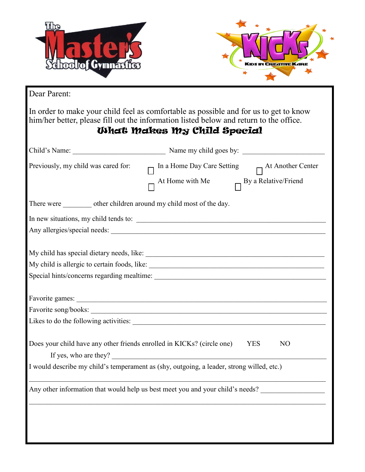| <b>Echoolof Gymnastros</b>                                             | <b>IDS IN CREATIVE KAR</b>                                                                                                                                                                                                     |
|------------------------------------------------------------------------|--------------------------------------------------------------------------------------------------------------------------------------------------------------------------------------------------------------------------------|
| Dear Parent:                                                           |                                                                                                                                                                                                                                |
|                                                                        | In order to make your child feel as comfortable as possible and for us to get to know<br>him/her better, please fill out the information listed below and return to the office.<br><b>What Makes My Child Special</b>          |
|                                                                        |                                                                                                                                                                                                                                |
| Previously, my child was cared for:                                    | In a Home Day Care Setting $\qquad \qquad \Box$ At Another Center                                                                                                                                                              |
| There were _________ other children around my child most of the day.   |                                                                                                                                                                                                                                |
|                                                                        |                                                                                                                                                                                                                                |
|                                                                        |                                                                                                                                                                                                                                |
|                                                                        |                                                                                                                                                                                                                                |
|                                                                        |                                                                                                                                                                                                                                |
|                                                                        | Favorite games: etc. and a series of the series of the series of the series of the series of the series of the series of the series of the series of the series of the series of the series of the series of the series of the |
|                                                                        |                                                                                                                                                                                                                                |
|                                                                        |                                                                                                                                                                                                                                |
| Does your child have any other friends enrolled in KICKs? (circle one) | <b>YES</b><br>N <sub>O</sub><br>If yes, who are they?                                                                                                                                                                          |
|                                                                        | I would describe my child's temperament as (shy, outgoing, a leader, strong willed, etc.)                                                                                                                                      |
|                                                                        | Any other information that would help us best meet you and your child's needs?                                                                                                                                                 |
|                                                                        |                                                                                                                                                                                                                                |
|                                                                        |                                                                                                                                                                                                                                |
|                                                                        |                                                                                                                                                                                                                                |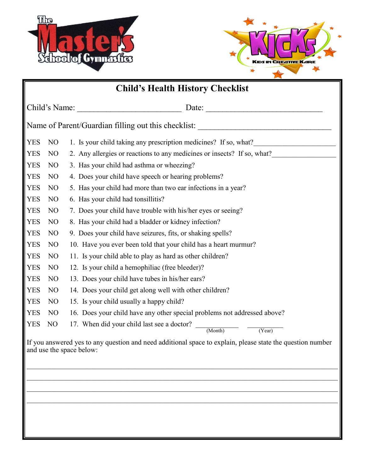



| <b>Child's Health History Checklist</b>                                                                                                |  |  |  |
|----------------------------------------------------------------------------------------------------------------------------------------|--|--|--|
|                                                                                                                                        |  |  |  |
| Name of Parent/Guardian filling out this checklist: _____________________________                                                      |  |  |  |
| 1. Is your child taking any prescription medicines? If so, what?<br><b>YES</b><br>N <sub>O</sub>                                       |  |  |  |
| 2. Any allergies or reactions to any medicines or insects? If so, what?<br><b>YES</b><br>N <sub>O</sub>                                |  |  |  |
| 3. Has your child had asthma or wheezing?<br><b>YES</b><br>N <sub>O</sub>                                                              |  |  |  |
| <b>YES</b><br>4. Does your child have speech or hearing problems?<br>N <sub>O</sub>                                                    |  |  |  |
| <b>YES</b><br>5. Has your child had more than two ear infections in a year?<br>N <sub>O</sub>                                          |  |  |  |
| <b>YES</b><br>6. Has your child had tonsillitis?<br>N <sub>O</sub>                                                                     |  |  |  |
| <b>YES</b><br>7. Does your child have trouble with his/her eyes or seeing?<br>N <sub>O</sub>                                           |  |  |  |
| <b>YES</b><br>N <sub>O</sub><br>8. Has your child had a bladder or kidney infection?                                                   |  |  |  |
| <b>YES</b><br>N <sub>O</sub><br>9. Does your child have seizures, fits, or shaking spells?                                             |  |  |  |
| <b>YES</b><br>N <sub>O</sub><br>10. Have you ever been told that your child has a heart murmur?                                        |  |  |  |
| <b>YES</b><br>N <sub>O</sub><br>11. Is your child able to play as hard as other children?                                              |  |  |  |
| <b>YES</b><br>N <sub>O</sub><br>12. Is your child a hemophiliac (free bleeder)?                                                        |  |  |  |
| <b>YES</b><br>N <sub>O</sub><br>13. Does your child have tubes in his/her ears?                                                        |  |  |  |
| <b>YES</b><br>14. Does your child get along well with other children?<br>N <sub>O</sub>                                                |  |  |  |
| <b>YES</b><br>N <sub>O</sub><br>15. Is your child usually a happy child?                                                               |  |  |  |
| <b>YES</b><br>16. Does your child have any other special problems not addressed above?<br>NO                                           |  |  |  |
| 17. When did your child last see a doctor? $\frac{1}{(Month)}$ $\frac{1}{(Year)}$<br><b>YES</b><br>NO                                  |  |  |  |
| If you answered yes to any question and need additional space to explain, please state the question number<br>and use the space below: |  |  |  |
|                                                                                                                                        |  |  |  |
|                                                                                                                                        |  |  |  |
|                                                                                                                                        |  |  |  |
|                                                                                                                                        |  |  |  |
|                                                                                                                                        |  |  |  |
|                                                                                                                                        |  |  |  |